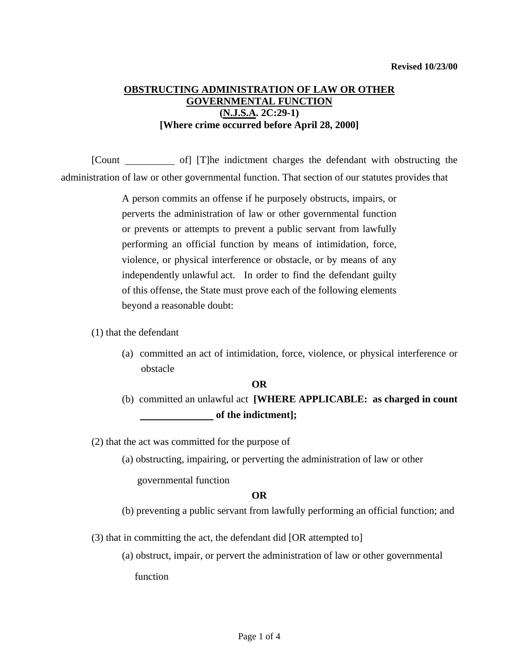# **OBSTRUCTING ADMINISTRATION OF LAW OR OTHER GOVERNMENTAL FUNCTION (N.J.S.A. 2C:29-1) [Where crime occurred before April 28, 2000]**

 [Count of] [T]he indictment charges the defendant with obstructing the administration of law or other governmental function. That section of our statutes provides that

> A person commits an offense if he purposely obstructs, impairs, or perverts the administration of law or other governmental function or prevents or attempts to prevent a public servant from lawfully performing an official function by means of intimidation, force, violence, or physical interference or obstacle, or by means of any independently unlawful act. In order to find the defendant guilty of this offense, the State must prove each of the following elements beyond a reasonable doubt:

- (1) that the defendant
	- (a) committed an act of intimidation, force, violence, or physical interference or obstacle

#### **OR**

(b) committed an unlawful act **[WHERE APPLICABLE: as charged in count of the indictment];** 

(2) that the act was committed for the purpose of

(a) obstructing, impairing, or perverting the administration of law or other

governmental function

### **OR**

(b) preventing a public servant from lawfully performing an official function; and

<span id="page-0-0"></span>(3) that in committing the act, the defendant did [OR attempted to]

(a) obstruct, impair, or pervert the administration of law or other governmental function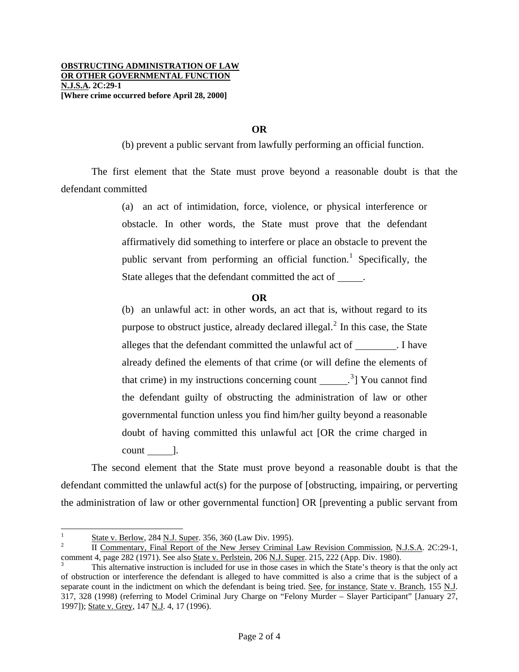## **OR**

(b) prevent a public servant from lawfully performing an official function.

 The first element that the State must prove beyond a reasonable doubt is that the defendant committed

> (a) an act of intimidation, force, violence, or physical interference or obstacle. In other words, the State must prove that the defendant affirmatively did something to interfere or place an obstacle to prevent the public servant from performing an official function.<sup>[1](#page-0-0)</sup> Specifically, the State alleges that the defendant committed the act of .

## **OR**

(b) an unlawful act: in other words, an act that is, without regard to its purpose to obstruct justice, already declared illegal. $<sup>2</sup>$  $<sup>2</sup>$  $<sup>2</sup>$  In this case, the State</sup> alleges that the defendant committed the unlawful act of . I have already defined the elements of that crime (or will define the elements of that crime) in my instructions concerning count  $\frac{3}{2}$  $\frac{3}{2}$  $\frac{3}{2}$  You cannot find the defendant guilty of obstructing the administration of law or other governmental function unless you find him/her guilty beyond a reasonable doubt of having committed this unlawful act [OR the crime charged in  $count$  ].

 The second element that the State must prove beyond a reasonable doubt is that the defendant committed the unlawful act(s) for the purpose of [obstructing, impairing, or perverting the administration of law or other governmental function] OR [preventing a public servant from

 $\frac{1}{1}$  $\frac{1}{2}$  State v. Berlow, 284 N.J. Super. 356, 360 (Law Div. 1995).

<span id="page-1-0"></span>II Commentary, Final Report of the New Jersey Criminal Law Revision Commission, N.J.S.A. 2C:29-1, comment 4, page 282 (1971). See also State v. Perlstein, 206 N.J. Super. 215, 222 (App. Div. 1980).

<span id="page-1-2"></span><span id="page-1-1"></span>This alternative instruction is included for use in those cases in which the State's theory is that the only act of obstruction or interference the defendant is alleged to have committed is also a crime that is the subject of a separate count in the indictment on which the defendant is being tried. See, for instance, State v. Branch, 155 N.J. 317, 328 (1998) (referring to Model Criminal Jury Charge on "Felony Murder – Slayer Participant" [January 27, 1997]); State v. Grey, 147 N.J. 4, 17 (1996).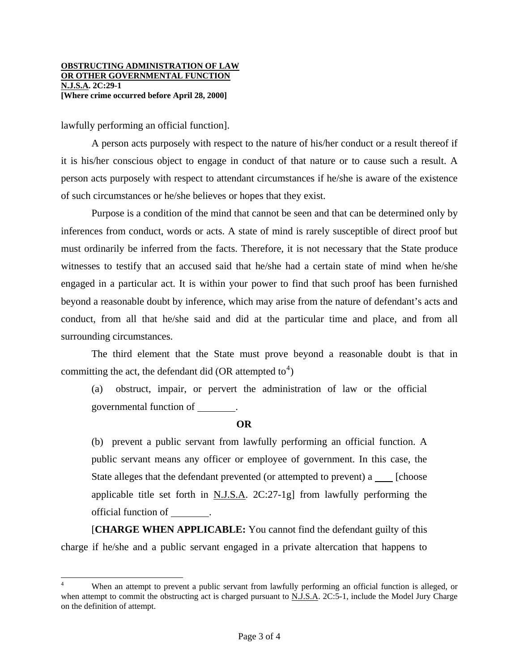lawfully performing an official function].

l

 A person acts purposely with respect to the nature of his/her conduct or a result thereof if it is his/her conscious object to engage in conduct of that nature or to cause such a result. A person acts purposely with respect to attendant circumstances if he/she is aware of the existence of such circumstances or he/she believes or hopes that they exist.

 Purpose is a condition of the mind that cannot be seen and that can be determined only by inferences from conduct, words or acts. A state of mind is rarely susceptible of direct proof but must ordinarily be inferred from the facts. Therefore, it is not necessary that the State produce witnesses to testify that an accused said that he/she had a certain state of mind when he/she engaged in a particular act. It is within your power to find that such proof has been furnished beyond a reasonable doubt by inference, which may arise from the nature of defendant's acts and conduct, from all that he/she said and did at the particular time and place, and from all surrounding circumstances.

 The third element that the State must prove beyond a reasonable doubt is that in committing the act, the defendant did (OR attempted to<sup>[4](#page-1-2)</sup>)

(a) obstruct, impair, or pervert the administration of law or the official governmental function of .

### **OR**

(b) prevent a public servant from lawfully performing an official function. A public servant means any officer or employee of government. In this case, the State alleges that the defendant prevented (or attempted to prevent) a [choose] applicable title set forth in N.J.S.A. 2C:27-1g] from lawfully performing the official function of .

<span id="page-2-0"></span> [**CHARGE WHEN APPLICABLE:** You cannot find the defendant guilty of this charge if he/she and a public servant engaged in a private altercation that happens to

<sup>4</sup> When an attempt to prevent a public servant from lawfully performing an official function is alleged, or when attempt to commit the obstructing act is charged pursuant to N.J.S.A. 2C:5-1, include the Model Jury Charge on the definition of attempt.